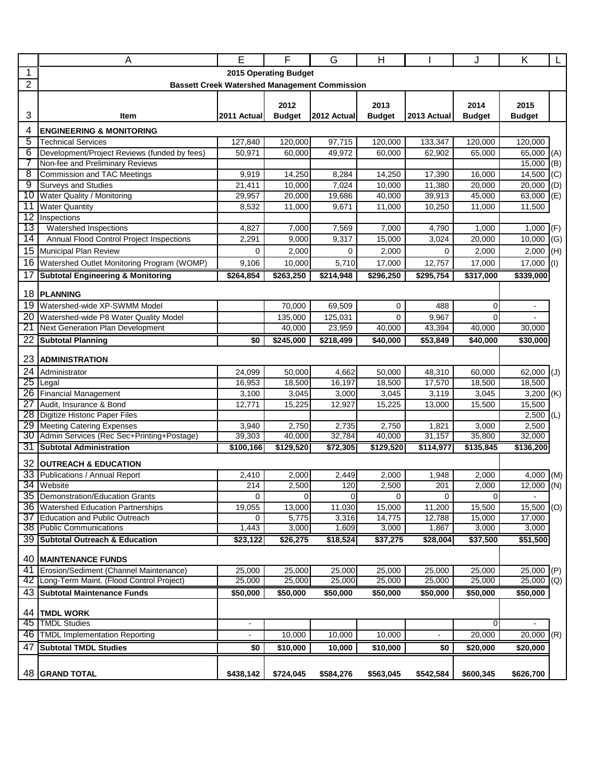|                            | A                                                                    | E               | F               | G               | $\overline{H}$  |                          | J               | Κ                                 |     |
|----------------------------|----------------------------------------------------------------------|-----------------|-----------------|-----------------|-----------------|--------------------------|-----------------|-----------------------------------|-----|
| 1<br>2015 Operating Budget |                                                                      |                 |                 |                 |                 |                          |                 |                                   |     |
| $\overline{2}$             | <b>Bassett Creek Watershed Management Commission</b>                 |                 |                 |                 |                 |                          |                 |                                   |     |
|                            |                                                                      |                 |                 |                 |                 |                          |                 |                                   |     |
|                            |                                                                      |                 | 2012            |                 | 2013            |                          | 2014            | 2015                              |     |
| 3                          | Item                                                                 | 2011 Actual     | <b>Budget</b>   | 2012 Actual     | <b>Budget</b>   | 2013 Actual              | <b>Budget</b>   | <b>Budget</b>                     |     |
| 4                          | <b>ENGINEERING &amp; MONITORING</b>                                  |                 |                 |                 |                 |                          |                 |                                   |     |
| 5                          | <b>Technical Services</b>                                            | 127,840         | 120,000         | 97,715          | 120,000         | 133,347                  | 120,000         | 120,000                           |     |
| 6                          | Development/Project Reviews (funded by fees)                         | 50,971          | 60,000          | 49,972          | 60,000          | 62,902                   | 65,000          | 65,000 (A)                        |     |
|                            | Non-fee and Preliminary Reviews                                      |                 |                 |                 |                 |                          |                 | $15,000$ (B)                      |     |
| $\overline{\mathbf{8}}$    | Commission and TAC Meetings                                          | 9,919           | 14,250          | 8,284           | 14,250          | 17,390                   | 16,000          | $14,500$ (C)                      |     |
| 9                          | <b>Surveys and Studies</b>                                           | 21,411          | 10,000          | 7,024           | 10,000          | 11,380                   | 20,000          | 20,000                            | (D) |
| 10                         | Water Quality / Monitoring                                           | 29,957          | 20,000          | 19,686          | 40,000          | 39,913                   | 45,000          | $63,000$ (E)                      |     |
| 11                         | <b>Water Quantity</b>                                                | 8,532           | 11,000          | 9,671           | 11,000          | 10,250                   | 11,000          | 11,500                            |     |
| $\overline{12}$            | Inspections                                                          |                 |                 |                 |                 |                          |                 |                                   |     |
| 13                         | Watershed Inspections                                                | 4,827           | 7,000           | 7,569           | 7,000           | 4,790                    | 1,000           | $1,000$ (F)                       |     |
| 14                         | Annual Flood Control Project Inspections                             | 2,291           | 9,000           | 9,317           | 15,000          | 3,024                    | 20,000          | 10,000                            | (G) |
| 15                         | Municipal Plan Review                                                | $\Omega$        | 2,000           | 0               | 2,000           | $\Omega$                 | 2,000           | 2,000                             | (H) |
| 16                         | Watershed Outlet Monitoring Program (WOMP)                           | 9,106           | 10,000          | 5,710           | 17,000          | 12,757                   | 17,000          | $17,000$ (I)                      |     |
| 17                         | <b>Subtotal Engineering &amp; Monitoring</b>                         | \$264,854       | \$263,250       | \$214,948       | \$296,250       | \$295,754                | \$317,000       | \$339,000                         |     |
|                            |                                                                      |                 |                 |                 |                 |                          |                 |                                   |     |
| 18                         | <b>PLANNING</b>                                                      |                 |                 |                 |                 |                          |                 |                                   |     |
| 19                         | Watershed-wide XP-SWMM Model                                         |                 | 70,000          | 69,509          | $\mathbf 0$     | 488                      | $\mathbf 0$     |                                   |     |
| $\overline{20}$            | Watershed-wide P8 Water Quality Model                                |                 | 135,000         | 125,031         | $\Omega$        | 9,967                    | $\Omega$        |                                   |     |
| 21                         | Next Generation Plan Development                                     |                 | 40,000          | 23,959          | 40,000          | 43,394                   | 40,000          | 30,000                            |     |
| $\overline{22}$            | <b>Subtotal Planning</b>                                             | \$0             | \$245,000       | \$218,499       | \$40,000        | \$53,849                 |                 | \$30,000                          |     |
| 23                         | <b>ADMINISTRATION</b>                                                |                 |                 |                 |                 |                          |                 |                                   |     |
| 24                         |                                                                      |                 |                 |                 |                 |                          |                 |                                   |     |
| 25                         | Administrator                                                        | 24,099          | 50,000          | 4,662           | 50,000          | 48,310                   | 60,000          | 62,000                            | (U) |
| 26                         | Legal<br><b>Financial Management</b>                                 | 16,953<br>3,100 | 18,500<br>3,045 | 16,197<br>3,000 | 18,500<br>3,045 | 17,570<br>3,119          | 18,500<br>3,045 | 18,500<br>$3,200$ (K)             |     |
| 27                         | Audit, Insurance & Bond                                              | 12,771          | 15,225          | 12,927          | 15,225          | 13,000                   | 15,500          | 15,500                            |     |
| 28                         | Digitize Historic Paper Files                                        |                 |                 |                 |                 |                          |                 | $2,500$ (L)                       |     |
| 29                         | <b>Meeting Catering Expenses</b>                                     | 3,940           | 2,750           | 2,735           | 2,750           | 1,821                    | 3,000           | 2,500                             |     |
| 30                         | Admin Services (Rec Sec+Printing+Postage)                            | 39,303          | 40,000          | 32,784          | 40,000          | 31,157                   | 35,800          | 32,000                            |     |
| 31                         | <b>Subtotal Administration</b>                                       | \$100,166       | \$129,520       | \$72,305        | \$129,520       | \$114,977                | \$135,845       | \$136,200                         |     |
|                            |                                                                      |                 |                 |                 |                 |                          |                 |                                   |     |
| 32                         | <b>OUTREACH &amp; EDUCATION</b>                                      |                 |                 |                 |                 |                          |                 |                                   |     |
| 33                         | Publications / Annual Report                                         | 2,410           | 2,000           | 2,449           | 2,000           | 1,948                    | 2,000           | 4,000                             | (M) |
| 34                         | Website                                                              | 214             | 2,500           | 120             | 2,500           | 201                      | 2,000           | 12,000                            | (N) |
|                            | 35 Demonstration/Education Grants                                    | 0               | 0               | $\overline{0}$  | $\overline{0}$  | $\overline{0}$           | $\overline{0}$  |                                   |     |
|                            | 36 Watershed Education Partnerships<br>Education and Public Outreach | 19,055          | 13,000          | 11,030          | 15,000          | 11,200                   | 15,500          | $\overline{15,}500$ (O)<br>17.000 |     |
| 37                         | <b>38 Public Communications</b>                                      | 0<br>1,443      | 5,775<br>3,000  | 3,316<br>1,609  | 14,775<br>3,000 | 12,788<br>1,867          | 15,000<br>3,000 | 3,000                             |     |
|                            | 39 Subtotal Outreach & Education                                     |                 | \$26,275        |                 |                 |                          |                 | \$51,500                          |     |
|                            |                                                                      | \$23,122        |                 | \$18,524        | \$37,275        | \$28,004                 | \$37,500        |                                   |     |
|                            | 40 MAINTENANCE FUNDS                                                 |                 |                 |                 |                 |                          |                 |                                   |     |
| 41                         | Erosion/Sediment (Channel Maintenance)                               | 25,000          | 25,000          | 25,000          | 25,000          | 25,000                   | 25,000          | $25,000$ (P)                      |     |
|                            | 42   Long-Term Maint. (Flood Control Project)                        | 25,000          | 25,000          | 25,000          | 25,000          | 25,000                   | 25,000          | $25,000$ (Q)                      |     |
| 43                         | <b>Subtotal Maintenance Funds</b>                                    | \$50,000        | \$50,000        | \$50,000        | \$50,000        | \$50,000                 | \$50,000        | \$50,000                          |     |
|                            |                                                                      |                 |                 |                 |                 |                          |                 |                                   |     |
| 44                         | <b>TMDL WORK</b>                                                     |                 |                 |                 |                 |                          |                 |                                   |     |
| 45                         | <b>TMDL Studies</b>                                                  | $\blacksquare$  |                 |                 |                 |                          | 0               |                                   |     |
| 46                         | <b>TMDL Implementation Reporting</b>                                 | $\blacksquare$  | 10,000          | 10,000          | 10,000          | $\overline{\phantom{0}}$ | 20,000          | $20,000$ (R)                      |     |
| 47                         | <b>Subtotal TMDL Studies</b>                                         | \$0             | \$10,000        | 10,000          | \$10,000        | \$0                      | \$20,000        | \$20,000                          |     |
|                            |                                                                      |                 |                 |                 |                 |                          |                 |                                   |     |
|                            | 48 GRAND TOTAL                                                       | \$438,142       | \$724,045       | \$584,276       | \$563,045       | \$542,584                | \$600,345       | \$626,700                         |     |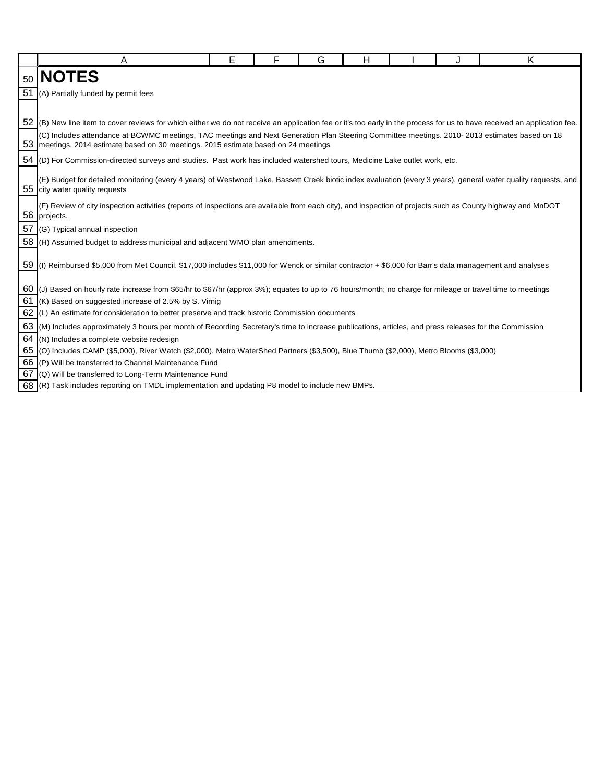|                 | A                                                                                                                                                                                                                                    | E | F | G | н |  | Ι. | K |  |  |
|-----------------|--------------------------------------------------------------------------------------------------------------------------------------------------------------------------------------------------------------------------------------|---|---|---|---|--|----|---|--|--|
| 50 <sub>1</sub> | <b>NOTES</b>                                                                                                                                                                                                                         |   |   |   |   |  |    |   |  |  |
| 51              | (A) Partially funded by permit fees                                                                                                                                                                                                  |   |   |   |   |  |    |   |  |  |
|                 |                                                                                                                                                                                                                                      |   |   |   |   |  |    |   |  |  |
|                 | 52 (B) New line item to cover reviews for which either we do not receive an application fee or it's too early in the process for us to have received an application fee.                                                             |   |   |   |   |  |    |   |  |  |
|                 | (C) Includes attendance at BCWMC meetings, TAC meetings and Next Generation Plan Steering Committee meetings. 2010-2013 estimates based on 18<br>53 meetings. 2014 estimate based on 30 meetings. 2015 estimate based on 24 meetings |   |   |   |   |  |    |   |  |  |
| 54              | (D) For Commission-directed surveys and studies. Past work has included watershed tours, Medicine Lake outlet work, etc.                                                                                                             |   |   |   |   |  |    |   |  |  |
|                 | (E) Budget for detailed monitoring (every 4 years) of Westwood Lake, Bassett Creek biotic index evaluation (every 3 years), general water quality requests, and<br>55 city water quality requests                                    |   |   |   |   |  |    |   |  |  |
|                 | (F) Review of city inspection activities (reports of inspections are available from each city), and inspection of projects such as County highway and MnDOT<br>56 projects.                                                          |   |   |   |   |  |    |   |  |  |
| 57              | (G) Typical annual inspection                                                                                                                                                                                                        |   |   |   |   |  |    |   |  |  |
|                 | 58 (H) Assumed budget to address municipal and adjacent WMO plan amendments.                                                                                                                                                         |   |   |   |   |  |    |   |  |  |
|                 | 59 (I) Reimbursed \$5,000 from Met Council. \$17,000 includes \$11,000 for Wenck or similar contractor + \$6,000 for Barr's data management and analyses                                                                             |   |   |   |   |  |    |   |  |  |
|                 | 60 (J) Based on hourly rate increase from \$65/hr to \$67/hr (approx 3%); equates to up to 76 hours/month; no charge for mileage or travel time to meetings                                                                          |   |   |   |   |  |    |   |  |  |
| 61              | (K) Based on suggested increase of 2.5% by S. Virnig                                                                                                                                                                                 |   |   |   |   |  |    |   |  |  |
| 62              | (L) An estimate for consideration to better preserve and track historic Commission documents                                                                                                                                         |   |   |   |   |  |    |   |  |  |
| 63              | (M) Includes approximately 3 hours per month of Recording Secretary's time to increase publications, articles, and press releases for the Commission                                                                                 |   |   |   |   |  |    |   |  |  |
| 64              | (N) Includes a complete website redesign                                                                                                                                                                                             |   |   |   |   |  |    |   |  |  |
|                 | 65 (O) Includes CAMP (\$5,000), River Watch (\$2,000), Metro WaterShed Partners (\$3,500), Blue Thumb (\$2,000), Metro Blooms (\$3,000)                                                                                              |   |   |   |   |  |    |   |  |  |
|                 | 66 (P) Will be transferred to Channel Maintenance Fund                                                                                                                                                                               |   |   |   |   |  |    |   |  |  |
| 67              | (Q) Will be transferred to Long-Term Maintenance Fund                                                                                                                                                                                |   |   |   |   |  |    |   |  |  |
|                 | 68 (R) Task includes reporting on TMDL implementation and updating P8 model to include new BMPs.                                                                                                                                     |   |   |   |   |  |    |   |  |  |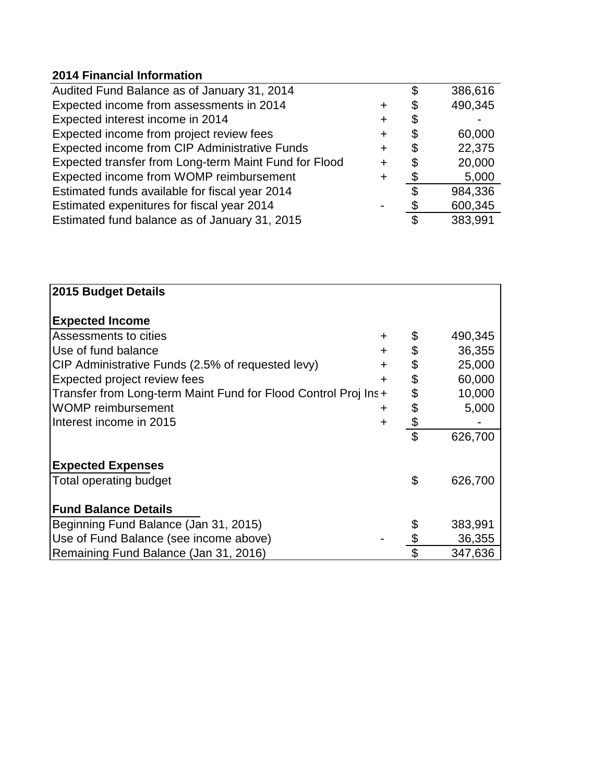## **2014 Financial Information**

| Audited Fund Balance as of January 31, 2014           |   | \$<br>386,616 |
|-------------------------------------------------------|---|---------------|
| Expected income from assessments in 2014              |   | \$<br>490,345 |
| Expected interest income in 2014                      |   | \$            |
| Expected income from project review fees              |   | \$<br>60,000  |
| Expected income from CIP Administrative Funds         |   | \$<br>22,375  |
| Expected transfer from Long-term Maint Fund for Flood |   | \$<br>20,000  |
| Expected income from WOMP reimbursement               | ٠ | \$<br>5,000   |
| Estimated funds available for fiscal year 2014        |   | \$<br>984,336 |
| Estimated expenitures for fiscal year 2014            |   | 600,345       |
| Estimated fund balance as of January 31, 2015         |   | \$<br>383,991 |

| 2015 Budget Details                                             |                         |         |
|-----------------------------------------------------------------|-------------------------|---------|
| <b>Expected Income</b>                                          |                         |         |
| Assessments to cities                                           | +                       | 490,345 |
| Use of fund balance<br>٠                                        | \$                      | 36,355  |
| CIP Administrative Funds (2.5% of requested levy)               | \$<br>$\ddot{}$         | 25,000  |
| <b>Expected project review fees</b>                             | \$<br>+                 | 60,000  |
| Transfer from Long-term Maint Fund for Flood Control Proj Ins + | \$                      | 10,000  |
| <b>WOMP</b> reimbursement                                       | \$<br>+                 | 5,000   |
| Interest income in 2015                                         | \$<br>$\ddot{}$         |         |
|                                                                 | \$                      | 626,700 |
| <b>Expected Expenses</b>                                        |                         |         |
| Total operating budget                                          | \$                      | 626,700 |
| <b>Fund Balance Details</b>                                     |                         |         |
| Beginning Fund Balance (Jan 31, 2015)                           |                         | 383,991 |
| Use of Fund Balance (see income above)                          | \$                      | 36,355  |
| Remaining Fund Balance (Jan 31, 2016)                           | $\overline{\mathbb{S}}$ | 347,636 |